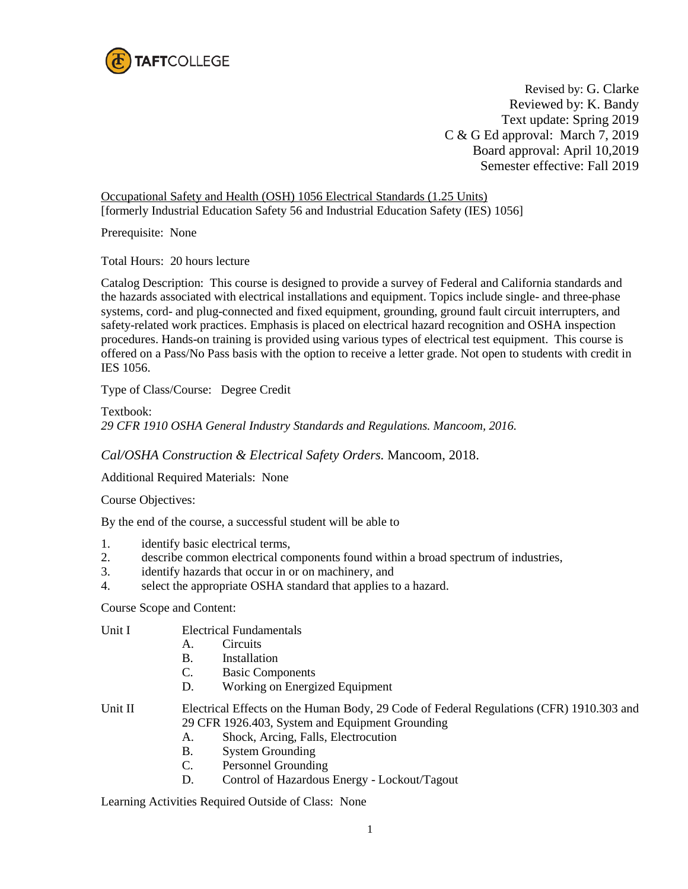

Revised by: G. Clarke Reviewed by: K. Bandy Text update: Spring 2019 C & G Ed approval: March 7, 2019 Board approval: April 10,2019 Semester effective: Fall 2019

Occupational Safety and Health (OSH) 1056 Electrical Standards (1.25 Units) [formerly Industrial Education Safety 56 and Industrial Education Safety (IES) 1056]

Prerequisite: None

Total Hours: 20 hours lecture

Catalog Description: This course is designed to provide a survey of Federal and California standards and the hazards associated with electrical installations and equipment. Topics include single- and three-phase systems, cord- and plug-connected and fixed equipment, grounding, ground fault circuit interrupters, and safety-related work practices. Emphasis is placed on electrical hazard recognition and OSHA inspection procedures. Hands-on training is provided using various types of electrical test equipment. This course is offered on a Pass/No Pass basis with the option to receive a letter grade. Not open to students with credit in IES 1056.

Type of Class/Course: Degree Credit

Textbook: *29 CFR 1910 OSHA General Industry Standards and Regulations. Mancoom, 2016.* 

*Cal/OSHA Construction & Electrical Safety Orders.* Mancoom, 2018.

Additional Required Materials: None

Course Objectives:

By the end of the course, a successful student will be able to

- 1. identify basic electrical terms,
- 2. describe common electrical components found within a broad spectrum of industries,
- 3. identify hazards that occur in or on machinery, and
- 4. select the appropriate OSHA standard that applies to a hazard.

Course Scope and Content:

Unit I Electrical Fundamentals

- A. Circuits
- B. Installation
- C. Basic Components
- D. Working on Energized Equipment

Unit II Electrical Effects on the Human Body, 29 Code of Federal Regulations (CFR) 1910.303 and 29 CFR 1926.403, System and Equipment Grounding

- A. Shock, Arcing, Falls, Electrocution
- B. System Grounding
- C. Personnel Grounding
- D. Control of Hazardous Energy Lockout/Tagout

Learning Activities Required Outside of Class: None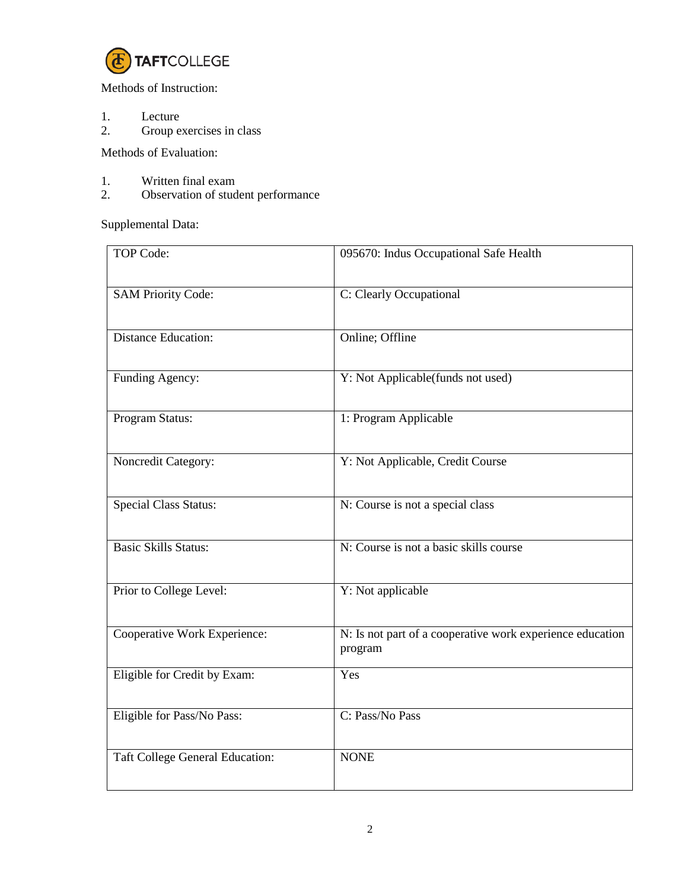

Methods of Instruction:

- 1. Lecture<br>2. Group e
- Group exercises in class

Methods of Evaluation:

- 1. Written final exam<br>2. Observation of stud
- Observation of student performance

Supplemental Data:

| <b>TOP Code:</b>                       | 095670: Indus Occupational Safe Health                               |
|----------------------------------------|----------------------------------------------------------------------|
| <b>SAM Priority Code:</b>              | C: Clearly Occupational                                              |
| <b>Distance Education:</b>             | Online; Offline                                                      |
| Funding Agency:                        | Y: Not Applicable(funds not used)                                    |
| Program Status:                        | 1: Program Applicable                                                |
| Noncredit Category:                    | Y: Not Applicable, Credit Course                                     |
| <b>Special Class Status:</b>           | N: Course is not a special class                                     |
| <b>Basic Skills Status:</b>            | N: Course is not a basic skills course                               |
| Prior to College Level:                | Y: Not applicable                                                    |
| Cooperative Work Experience:           | N: Is not part of a cooperative work experience education<br>program |
| Eligible for Credit by Exam:           | Yes                                                                  |
| Eligible for Pass/No Pass:             | C: Pass/No Pass                                                      |
| <b>Taft College General Education:</b> | <b>NONE</b>                                                          |